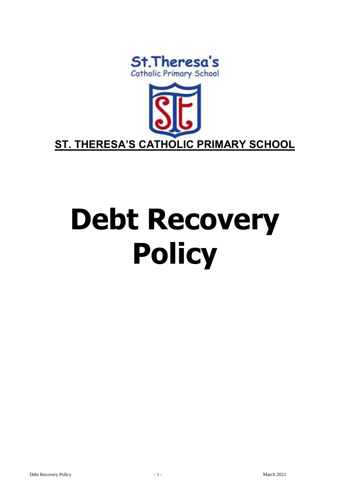



# **Debt Recovery Policy**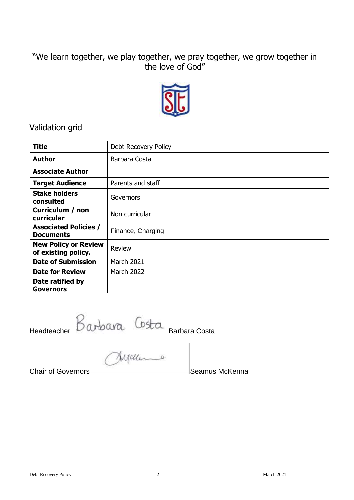# "We learn together, we play together, we pray together, we grow together in the love of God"



# Validation grid

| <b>Title</b>                                       | Debt Recovery Policy |
|----------------------------------------------------|----------------------|
| <b>Author</b>                                      | Barbara Costa        |
| <b>Associate Author</b>                            |                      |
| <b>Target Audience</b>                             | Parents and staff    |
| <b>Stake holders</b><br>consulted                  | Governors            |
| Curriculum / non<br>curricular                     | Non curricular       |
| <b>Associated Policies /</b><br><b>Documents</b>   | Finance, Charging    |
| <b>New Policy or Review</b><br>of existing policy. | <b>Review</b>        |
| <b>Date of Submission</b>                          | March 2021           |
| <b>Date for Review</b>                             | <b>March 2022</b>    |
| Date ratified by<br><b>Governors</b>               |                      |

Headteacher Barbara Costa

**Chair of Governors** Chair Chair Chair Chair Chair Chair Chair Chair Chair Chair Chair Chair Chair Chair Chair Chair Chair Chair Chair Chair Chair Chair Chair Chair Chair Chair Chair Chair Chair Chair Chair Chair Chair Cha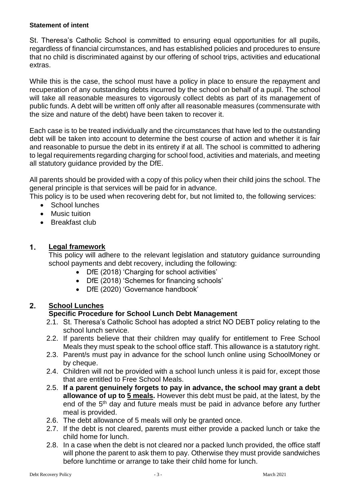#### **Statement of intent**

St. Theresa's Catholic School is committed to ensuring equal opportunities for all pupils, regardless of financial circumstances, and has established policies and procedures to ensure that no child is discriminated against by our offering of school trips, activities and educational extras.

While this is the case, the school must have a policy in place to ensure the repayment and recuperation of any outstanding debts incurred by the school on behalf of a pupil. The school will take all reasonable measures to vigorously collect debts as part of its management of public funds. A debt will be written off only after all reasonable measures (commensurate with the size and nature of the debt) have been taken to recover it.

Each case is to be treated individually and the circumstances that have led to the outstanding debt will be taken into account to determine the best course of action and whether it is fair and reasonable to pursue the debt in its entirety if at all. The school is committed to adhering to legal requirements regarding charging for school food, activities and materials, and meeting all statutory guidance provided by the DfE.

All parents should be provided with a copy of this policy when their child joins the school. The general principle is that services will be paid for in advance.

This policy is to be used when recovering debt for, but not limited to, the following services:

- School lunches
- Music tuition
- Breakfast club

#### 1. **Legal framework**

This policy will adhere to the relevant legislation and statutory guidance surrounding school payments and debt recovery, including the following:

- DfE (2018) 'Charging for school activities'
- DfE (2018) 'Schemes for financing schools'
- DfE (2020) 'Governance handbook'

#### 2. **School Lunches**

### **Specific Procedure for School Lunch Debt Management**

- 2.1. St. Theresa's Catholic School has adopted a strict NO DEBT policy relating to the school lunch service.
- 2.2. If parents believe that their children may qualify for entitlement to Free School Meals they must speak to the school office staff. This allowance is a statutory right.
- 2.3. Parent/s must pay in advance for the school lunch online using SchoolMoney or by cheque.
- 2.4. Children will not be provided with a school lunch unless it is paid for, except those that are entitled to Free School Meals.
- 2.5. **If a parent genuinely forgets to pay in advance, the school may grant a debt allowance of up to 5 meals.** However this debt must be paid, at the latest, by the end of the 5<sup>th</sup> day and future meals must be paid in advance before any further meal is provided.
- 2.6. The debt allowance of 5 meals will only be granted once.
- 2.7. If the debt is not cleared, parents must either provide a packed lunch or take the child home for lunch.
- 2.8. In a case when the debt is not cleared nor a packed lunch provided, the office staff will phone the parent to ask them to pay. Otherwise they must provide sandwiches before lunchtime or arrange to take their child home for lunch.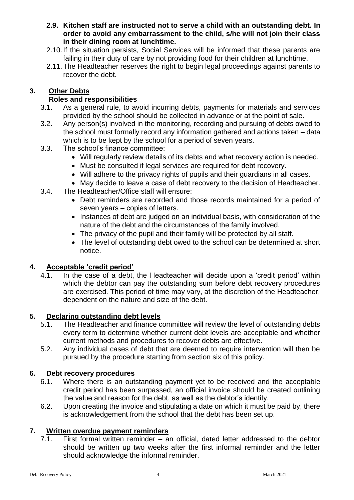- **2.9. Kitchen staff are instructed not to serve a child with an outstanding debt. In order to avoid any embarrassment to the child, s/he will not join their class in their dining room at lunchtime.**
- 2.10.If the situation persists, Social Services will be informed that these parents are failing in their duty of care by not providing food for their children at lunchtime.
- 2.11.The Headteacher reserves the right to begin legal proceedings against parents to recover the debt.

# **3. Other Debts**

# **Roles and responsibilities**

- 3.1. As a general rule, to avoid incurring debts, payments for materials and services provided by the school should be collected in advance or at the point of sale.
- 3.2. Any person(s) involved in the monitoring, recording and pursuing of debts owed to the school must formally record any information gathered and actions taken – data which is to be kept by the school for a period of seven years.
- 3.3. The school's finance committee:
	- Will regularly review details of its debts and what recovery action is needed.
	- Must be consulted if legal services are required for debt recovery.
	- Will adhere to the privacy rights of pupils and their guardians in all cases.
	- May decide to leave a case of debt recovery to the decision of Headteacher.
- 3.4. The Headteacher/Office staff will ensure:
	- Debt reminders are recorded and those records maintained for a period of seven years – copies of letters.
	- Instances of debt are judged on an individual basis, with consideration of the nature of the debt and the circumstances of the family involved.
	- The privacy of the pupil and their family will be protected by all staff.
	- The level of outstanding debt owed to the school can be determined at short notice.

# **4. Acceptable 'credit period'**

4.1. In the case of a debt, the Headteacher will decide upon a 'credit period' within which the debtor can pay the outstanding sum before debt recovery procedures are exercised. This period of time may vary, at the discretion of the Headteacher, dependent on the nature and size of the debt.

# **5. Declaring outstanding debt levels**

- 5.1. The Headteacher and finance committee will review the level of outstanding debts every term to determine whether current debt levels are acceptable and whether current methods and procedures to recover debts are effective.
- 5.2. Any individual cases of debt that are deemed to require intervention will then be pursued by the procedure starting from section six of this policy.

# **6. Debt recovery procedures**

- 6.1. Where there is an outstanding payment yet to be received and the acceptable credit period has been surpassed, an official invoice should be created outlining the value and reason for the debt, as well as the debtor's identity.
- 6.2. Upon creating the invoice and stipulating a date on which it must be paid by, there is acknowledgement from the school that the debt has been set up.

# **7. Written overdue payment reminders**

 $7.1.$  First formal written reminder – an official, dated letter addressed to the debtor should be written up two weeks after the first informal reminder and the letter should acknowledge the informal reminder.